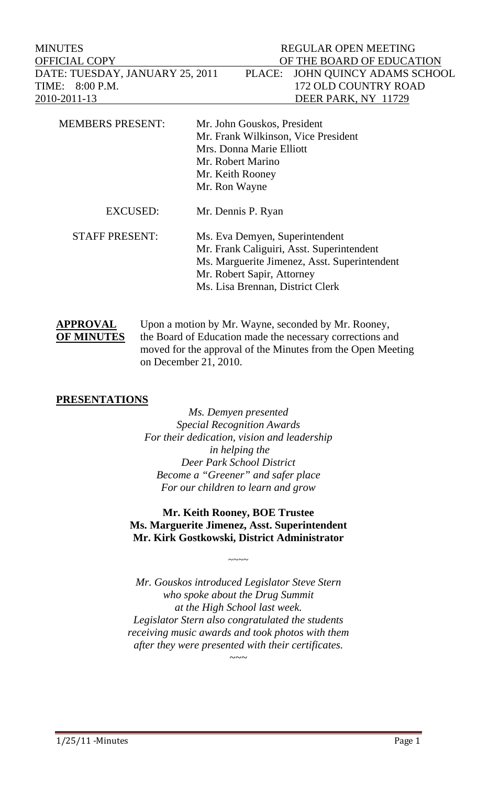MINUTES REGULAR OPEN MEETING OFFICIAL COPY OF THE BOARD OF EDUCATION DATE: TUESDAY, JANUARY 25, 2011 PLACE: JOHN QUINCY ADAMS SCHOOL TIME: 8:00 P.M. 172 OLD COUNTRY ROAD 2010-2011-13 DEER PARK, NY 11729

| <b>MEMBERS PRESENT:</b> | Mr. John Gouskos, President                  |
|-------------------------|----------------------------------------------|
|                         | Mr. Frank Wilkinson, Vice President          |
|                         | Mrs. Donna Marie Elliott                     |
|                         | Mr. Robert Marino                            |
|                         | Mr. Keith Rooney                             |
|                         | Mr. Ron Wayne                                |
| <b>EXCUSED:</b>         | Mr. Dennis P. Ryan                           |
| <b>STAFF PRESENT:</b>   | Ms. Eva Demyen, Superintendent               |
|                         | Mr. Frank Caliguiri, Asst. Superintendent    |
|                         | Ms. Marguerite Jimenez, Asst. Superintendent |
|                         | Mr. Robert Sapir, Attorney                   |
|                         | Ms. Lisa Brennan, District Clerk             |
|                         |                                              |

APPROVAL Upon a motion by Mr. Wayne, seconded by Mr. Rooney, **OF MINUTES** the Board of Education made the necessary corrections and moved for the approval of the Minutes from the Open Meeting on December 21, 2010.

## **PRESENTATIONS**

*Ms. Demyen presented Special Recognition Awards For their dedication, vision and leadership in helping the Deer Park School District Become a "Greener" and safer place For our children to learn and grow* 

**Mr. Keith Rooney, BOE Trustee Ms. Marguerite Jimenez, Asst. Superintendent Mr. Kirk Gostkowski, District Administrator** 

 $\sim\sim\sim\sim$ 

*Mr. Gouskos introduced Legislator Steve Stern who spoke about the Drug Summit at the High School last week. Legislator Stern also congratulated the students receiving music awards and took photos with them after they were presented with their certificates. ~~~* 

1/25/11 - Minutes Page 1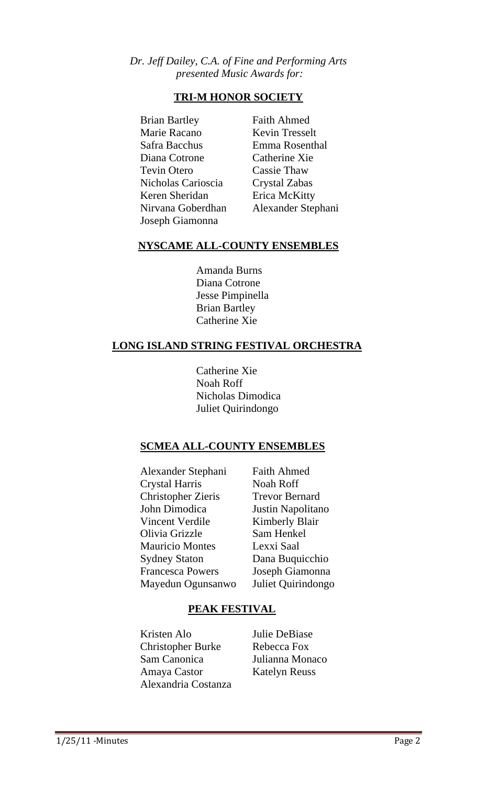## *Dr. Jeff Dailey, C.A. of Fine and Performing Arts presented Music Awards for:*

## **TRI-M HONOR SOCIETY**

 Brian Bartley Faith Ahmed Marie Racano Kevin Tresselt Safra Bacchus Emma Rosenthal Diana Cotrone Catherine Xie Tevin Otero Cassie Thaw Nicholas Carioscia Crystal Zabas Keren Sheridan Erica McKitty Nirvana Goberdhan Alexander Stephani Joseph Giamonna

## **NYSCAME ALL-COUNTY ENSEMBLES**

 Amanda Burns Diana Cotrone Jesse Pimpinella Brian Bartley Catherine Xie

## **LONG ISLAND STRING FESTIVAL ORCHESTRA**

 Catherine Xie Noah Roff Nicholas Dimodica Juliet Quirindongo

## **SCMEA ALL-COUNTY ENSEMBLES**

Alexander Stephani Faith Ahmed Crystal Harris Noah Roff Christopher Zieris Trevor Bernard John Dimodica Justin Napolitano Vincent Verdile Kimberly Blair Olivia Grizzle Sam Henkel Mauricio Montes Lexxi Saal Sydney Staton Dana Buquicchio Francesca Powers Joseph Giamonna Mayedun Ogunsanwo Juliet Quirindongo

## **PEAK FESTIVAL**

 Kristen Alo Julie DeBiase Christopher Burke Rebecca Fox Sam Canonica Julianna Monaco Amaya Castor Katelyn Reuss Alexandria Costanza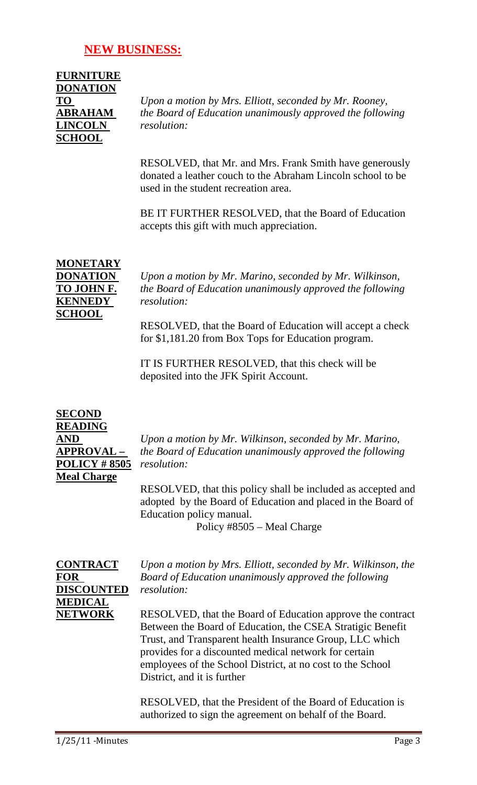## **NEW BUSINESS:**

| <b>FURNITURE</b> |
|------------------|
| <b>DONATION</b>  |
| TО               |
| <b>ABRAHAM</b>   |
| <b>LINCOLN</b>   |
| <b>SCHOOL</b>    |

**TO** *Upon a motion by Mrs. Elliott, seconded by Mr. Rooney, the Board of Education unanimously approved the following*  $resolution:$ 

RESOLVED, that Mr. and Mrs. Frank Smith have generously donated a leather couch to the Abraham Lincoln school to be used in the student recreation area.

BE IT FURTHER RESOLVED, that the Board of Education accepts this gift with much appreciation.

# **MONETARY KENNEDY** *resolution:*  **SCHOOL**

**DONATION** *Upon a motion by Mr. Marino, seconded by Mr. Wilkinson,*  **TO JOHN F.** *the Board of Education unanimously approved the following* 

> RESOLVED, that the Board of Education will accept a check for \$1,181.20 from Box Tops for Education program.

IT IS FURTHER RESOLVED, that this check will be deposited into the JFK Spirit Account.

# **SECOND READING POLICY # 8505** *resolution:* **Meal Charge**

**AND** *Upon a motion by Mr. Wilkinson, seconded by Mr. Marino,*  **APPROVAL –** *the Board of Education unanimously approved the following* 

> RESOLVED, that this policy shall be included as accepted and adopted by the Board of Education and placed in the Board of Education policy manual.

> > Policy #8505 – Meal Charge

# **DISCOUNTED** *resolution:*  **MEDICAL**

**CONTRACT** *Upon a motion by Mrs. Elliott, seconded by Mr. Wilkinson, the*  **FOR** *Board of Education unanimously approved the following* 

**NETWORK** RESOLVED, that the Board of Education approve the contract Between the Board of Education, the CSEA Stratigic Benefit Trust, and Transparent health Insurance Group, LLC which provides for a discounted medical network for certain employees of the School District, at no cost to the School District, and it is further

> RESOLVED, that the President of the Board of Education is authorized to sign the agreement on behalf of the Board.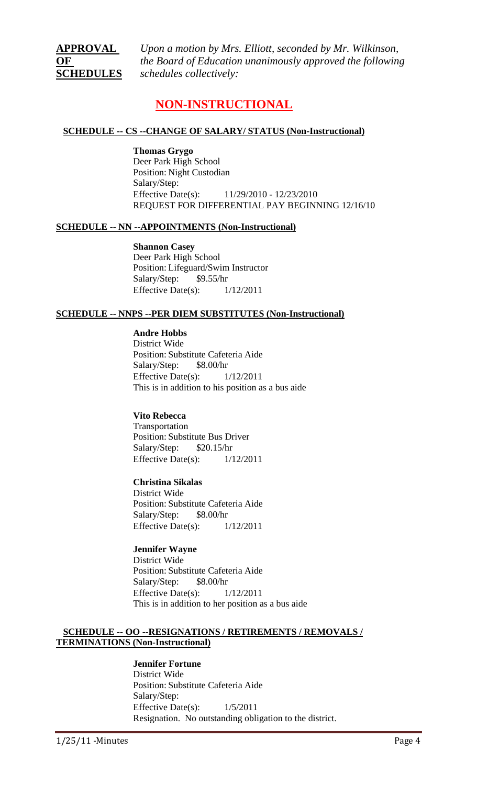**APPROVAL** *Upon a motion by Mrs. Elliott, seconded by Mr. Wilkinson,*  **OF** *the Board of Education unanimously approved the following*  **SCHEDULES** *schedules collectively:* 

## **NON-INSTRUCTIONAL**

#### **SCHEDULE -- CS --CHANGE OF SALARY/ STATUS (Non-Instructional)**

**Thomas Grygo** Deer Park High School Position: Night Custodian Salary/Step: Effective Date(s): 11/29/2010 - 12/23/2010 REQUEST FOR DIFFERENTIAL PAY BEGINNING 12/16/10

#### **SCHEDULE -- NN --APPOINTMENTS (Non-Instructional)**

**Shannon Casey** Deer Park High School Position: Lifeguard/Swim Instructor Salary/Step: \$9.55/hr Effective Date(s):  $1/12/2011$ 

#### **SCHEDULE -- NNPS --PER DIEM SUBSTITUTES (Non-Instructional)**

**Andre Hobbs**

District Wide Position: Substitute Cafeteria Aide Salary/Step: \$8.00/hr Effective Date(s):  $1/12/2011$ This is in addition to his position as a bus aide

#### **Vito Rebecca**

Transportation Position: Substitute Bus Driver Salary/Step: \$20.15/hr Effective Date(s): 1/12/2011

#### **Christina Sikalas**

District Wide Position: Substitute Cafeteria Aide Salary/Step: \$8.00/hr Effective Date(s):  $1/12/2011$ 

#### **Jennifer Wayne**

District Wide Position: Substitute Cafeteria Aide Salary/Step: \$8.00/hr Effective Date(s): 1/12/2011 This is in addition to her position as a bus aide

#### **SCHEDULE -- OO --RESIGNATIONS / RETIREMENTS / REMOVALS / TERMINATIONS (Non-Instructional)**

#### **Jennifer Fortune**

District Wide Position: Substitute Cafeteria Aide Salary/Step: Effective Date(s): 1/5/2011 Resignation. No outstanding obligation to the district.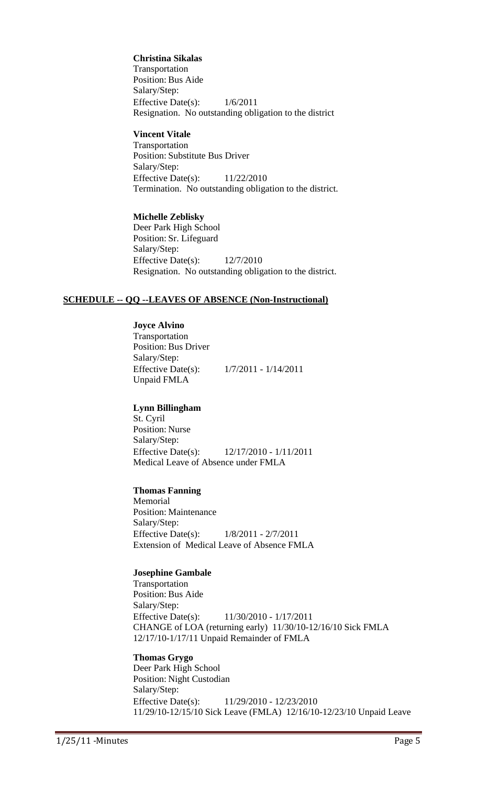**Christina Sikalas** Transportation Position: Bus Aide Salary/Step: Effective Date(s): 1/6/2011 Resignation. No outstanding obligation to the district

#### **Vincent Vitale**

Transportation Position: Substitute Bus Driver Salary/Step: Effective Date(s): 11/22/2010 Termination. No outstanding obligation to the district.

#### **Michelle Zeblisky**

Deer Park High School Position: Sr. Lifeguard Salary/Step: Effective Date(s): 12/7/2010 Resignation. No outstanding obligation to the district.

#### **SCHEDULE -- QQ --LEAVES OF ABSENCE (Non-Instructional)**

**Joyce Alvino** Transportation Position: Bus Driver Salary/Step: Effective Date(s): 1/7/2011 - 1/14/2011 Unpaid FMLA

#### **Lynn Billingham**

St. Cyril Position: Nurse Salary/Step: Effective Date(s): 12/17/2010 - 1/11/2011 Medical Leave of Absence under FMLA

#### **Thomas Fanning**

Memorial Position: Maintenance Salary/Step: Effective Date(s): 1/8/2011 - 2/7/2011 Extension of Medical Leave of Absence FMLA

#### **Josephine Gambale**

Transportation Position: Bus Aide Salary/Step: Effective Date(s): 11/30/2010 - 1/17/2011 CHANGE of LOA (returning early) 11/30/10-12/16/10 Sick FMLA 12/17/10-1/17/11 Unpaid Remainder of FMLA

## **Thomas Grygo**

Deer Park High School Position: Night Custodian Salary/Step: Effective Date(s): 11/29/2010 - 12/23/2010 11/29/10-12/15/10 Sick Leave (FMLA) 12/16/10-12/23/10 Unpaid Leave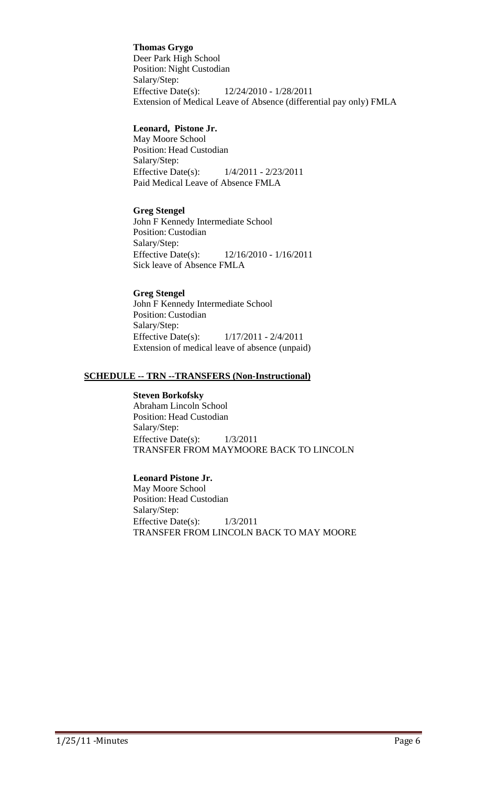**Thomas Grygo** Deer Park High School Position: Night Custodian Salary/Step: Effective Date(s): 12/24/2010 - 1/28/2011 Extension of Medical Leave of Absence (differential pay only) FMLA

#### **Leonard, Pistone Jr.**

May Moore School Position: Head Custodian Salary/Step: Effective Date(s): 1/4/2011 - 2/23/2011 Paid Medical Leave of Absence FMLA

#### **Greg Stengel**

John F Kennedy Intermediate School Position: Custodian Salary/Step: Effective Date(s): 12/16/2010 - 1/16/2011 Sick leave of Absence FMLA

## **Greg Stengel**

John F Kennedy Intermediate School Position: Custodian Salary/Step: Effective Date(s): 1/17/2011 - 2/4/2011 Extension of medical leave of absence (unpaid)

#### **SCHEDULE -- TRN --TRANSFERS (Non-Instructional)**

#### **Steven Borkofsky**

Abraham Lincoln School Position: Head Custodian Salary/Step: Effective Date(s):  $1/3/2011$ TRANSFER FROM MAYMOORE BACK TO LINCOLN

#### **Leonard Pistone Jr.**

May Moore School Position: Head Custodian Salary/Step: Effective Date(s): 1/3/2011 TRANSFER FROM LINCOLN BACK TO MAY MOORE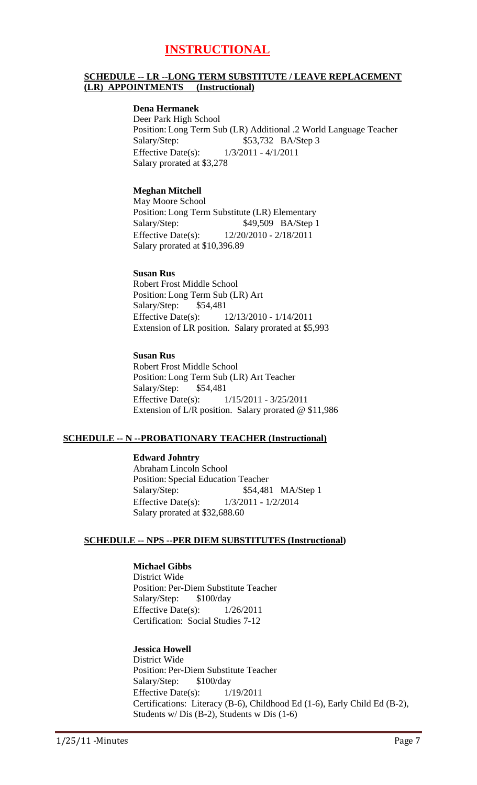## **INSTRUCTIONAL**

#### **SCHEDULE -- LR --LONG TERM SUBSTITUTE / LEAVE REPLACEMENT (LR) APPOINTMENTS (Instructional)**

#### **Dena Hermanek**

Deer Park High School Position: Long Term Sub (LR) Additional .2 World Language Teacher Salary/Step: \$53,732 BA/Step 3 Effective Date(s): 1/3/2011 - 4/1/2011 Salary prorated at \$3,278

#### **Meghan Mitchell**

May Moore School Position: Long Term Substitute (LR) Elementary Salary/Step: \$49,509 BA/Step 1 Effective Date(s): 12/20/2010 - 2/18/2011 Salary prorated at \$10,396.89

#### **Susan Rus**

Robert Frost Middle School Position: Long Term Sub (LR) Art Salary/Step: \$54,481 Effective Date(s): 12/13/2010 - 1/14/2011 Extension of LR position. Salary prorated at \$5,993

#### **Susan Rus**

Robert Frost Middle School Position: Long Term Sub (LR) Art Teacher Salary/Step: \$54,481 Effective Date(s): 1/15/2011 - 3/25/2011 Extension of L/R position. Salary prorated @ \$11,986

#### **SCHEDULE -- N --PROBATIONARY TEACHER (Instructional)**

**Edward Johntry** Abraham Lincoln School Position: Special Education Teacher Salary/Step: \$54,481 MA/Step 1 Effective Date(s): 1/3/2011 - 1/2/2014 Salary prorated at \$32,688.60

#### **SCHEDULE -- NPS --PER DIEM SUBSTITUTES (Instructional)**

#### **Michael Gibbs**

District Wide Position: Per-Diem Substitute Teacher Salary/Step: \$100/day Effective Date(s):  $1/26/2011$ Certification: Social Studies 7-12

#### **Jessica Howell**

District Wide Position: Per-Diem Substitute Teacher Salary/Step: \$100/day Effective Date(s):  $1/19/2011$ Certifications: Literacy (B-6), Childhood Ed (1-6), Early Child Ed (B-2), Students w/ Dis (B-2), Students w Dis (1-6)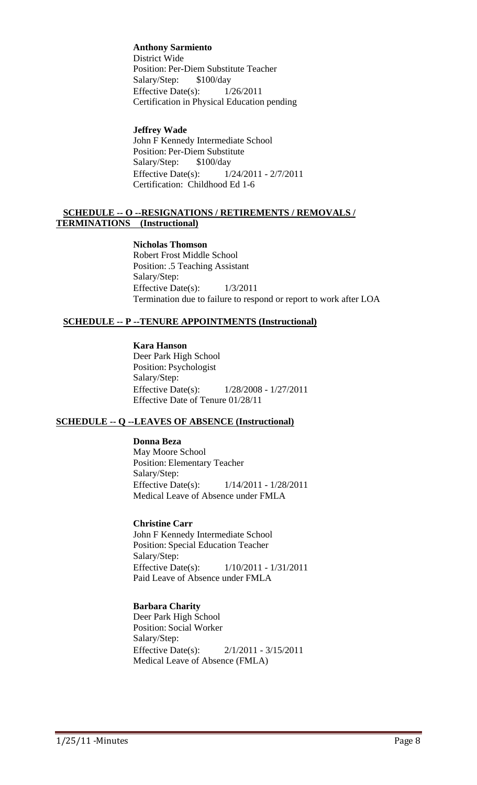**Anthony Sarmiento** District Wide Position: Per-Diem Substitute Teacher Salary/Step: \$100/day Effective Date(s):  $1/26/2011$ Certification in Physical Education pending

#### **Jeffrey Wade**

John F Kennedy Intermediate School Position: Per-Diem Substitute Salary/Step: \$100/day Effective Date(s): 1/24/2011 - 2/7/2011 Certification: Childhood Ed 1-6

#### **SCHEDULE -- O --RESIGNATIONS / RETIREMENTS / REMOVALS / TERMINATIONS (Instructional)**

**Nicholas Thomson** Robert Frost Middle School Position: .5 Teaching Assistant Salary/Step: Effective Date(s):  $1/3/2011$ Termination due to failure to respond or report to work after LOA

#### **SCHEDULE -- P --TENURE APPOINTMENTS (Instructional)**

**Kara Hanson** Deer Park High School Position: Psychologist Salary/Step: Effective Date(s): 1/28/2008 - 1/27/2011 Effective Date of Tenure 01/28/11

#### **SCHEDULE -- Q --LEAVES OF ABSENCE (Instructional)**

**Donna Beza** May Moore School Position: Elementary Teacher Salary/Step: Effective Date(s): 1/14/2011 - 1/28/2011 Medical Leave of Absence under FMLA

**Christine Carr** John F Kennedy Intermediate School Position: Special Education Teacher Salary/Step: Effective Date(s): 1/10/2011 - 1/31/2011 Paid Leave of Absence under FMLA

#### **Barbara Charity**

Deer Park High School Position: Social Worker Salary/Step: Effective Date(s): 2/1/2011 - 3/15/2011 Medical Leave of Absence (FMLA)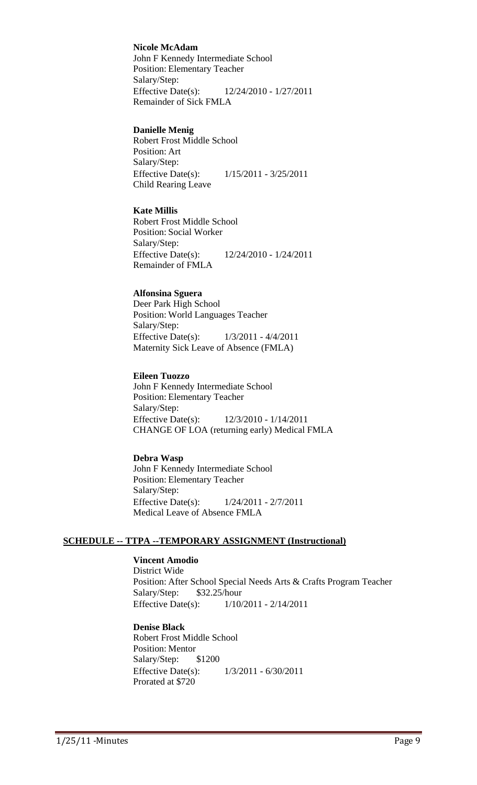**Nicole McAdam**

John F Kennedy Intermediate School Position: Elementary Teacher Salary/Step: Effective Date(s): 12/24/2010 - 1/27/2011 Remainder of Sick FMLA

#### **Danielle Menig**

Robert Frost Middle School Position: Art Salary/Step: Effective Date(s): 1/15/2011 - 3/25/2011 Child Rearing Leave

#### **Kate Millis**

Robert Frost Middle School Position: Social Worker Salary/Step: Effective Date(s): 12/24/2010 - 1/24/2011 Remainder of FMLA

#### **Alfonsina Sguera**

Deer Park High School Position: World Languages Teacher Salary/Step: Effective Date(s): 1/3/2011 - 4/4/2011 Maternity Sick Leave of Absence (FMLA)

#### **Eileen Tuozzo**

John F Kennedy Intermediate School Position: Elementary Teacher Salary/Step: Effective Date(s): 12/3/2010 - 1/14/2011 CHANGE OF LOA (returning early) Medical FMLA

#### **Debra Wasp**

John F Kennedy Intermediate School Position: Elementary Teacher Salary/Step: Effective Date(s): 1/24/2011 - 2/7/2011 Medical Leave of Absence FMLA

#### **SCHEDULE -- TTPA --TEMPORARY ASSIGNMENT (Instructional)**

#### **Vincent Amodio**

District Wide Position: After School Special Needs Arts & Crafts Program Teacher Salary/Step: \$32.25/hour Effective Date(s): 1/10/2011 - 2/14/2011

#### **Denise Black**

Robert Frost Middle School Position: Mentor Salary/Step: \$1200 Effective Date(s): 1/3/2011 - 6/30/2011 Prorated at \$720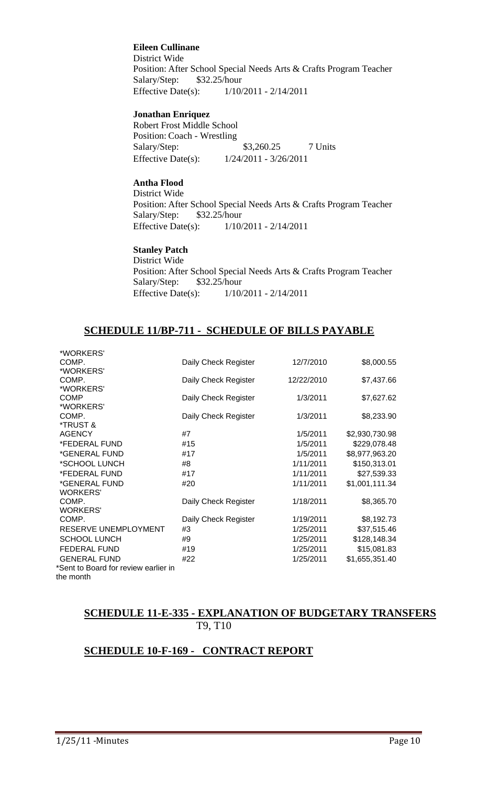#### **Eileen Cullinane**

District Wide Position: After School Special Needs Arts & Crafts Program Teacher Salary/Step: \$32.25/hour Effective Date(s): 1/10/2011 - 2/14/2011

#### **Jonathan Enriquez**

Robert Frost Middle School Position: Coach - Wrestling Salary/Step: \$3,260.25 7 Units Effective Date(s): 1/24/2011 - 3/26/2011

## **Antha Flood**

District Wide Position: After School Special Needs Arts & Crafts Program Teacher Salary/Step: \$32.25/hour Effective Date(s): 1/10/2011 - 2/14/2011

#### **Stanley Patch**

District Wide Position: After School Special Needs Arts & Crafts Program Teacher Salary/Step: \$32.25/hour Effective Date(s): 1/10/2011 - 2/14/2011

## **SCHEDULE 11/BP-711 - SCHEDULE OF BILLS PAYABLE**

|                      |                                                                                                                                                        | \$8,000.55                                                                                                                                            |
|----------------------|--------------------------------------------------------------------------------------------------------------------------------------------------------|-------------------------------------------------------------------------------------------------------------------------------------------------------|
|                      |                                                                                                                                                        |                                                                                                                                                       |
|                      |                                                                                                                                                        | \$7,437.66                                                                                                                                            |
|                      |                                                                                                                                                        |                                                                                                                                                       |
|                      |                                                                                                                                                        | \$7,627.62                                                                                                                                            |
|                      |                                                                                                                                                        |                                                                                                                                                       |
|                      |                                                                                                                                                        | \$8,233.90                                                                                                                                            |
|                      |                                                                                                                                                        |                                                                                                                                                       |
| #7                   | 1/5/2011                                                                                                                                               | \$2,930,730.98                                                                                                                                        |
|                      |                                                                                                                                                        | \$229,078.48                                                                                                                                          |
|                      |                                                                                                                                                        | \$8,977,963.20                                                                                                                                        |
|                      |                                                                                                                                                        | \$150,313.01                                                                                                                                          |
|                      |                                                                                                                                                        |                                                                                                                                                       |
|                      |                                                                                                                                                        | \$27,539.33                                                                                                                                           |
|                      |                                                                                                                                                        | \$1,001,111.34                                                                                                                                        |
|                      |                                                                                                                                                        |                                                                                                                                                       |
|                      |                                                                                                                                                        | \$8,365.70                                                                                                                                            |
|                      |                                                                                                                                                        |                                                                                                                                                       |
| Daily Check Register | 1/19/2011                                                                                                                                              | \$8,192.73                                                                                                                                            |
| #3                   | 1/25/2011                                                                                                                                              | \$37,515.46                                                                                                                                           |
| #9                   | 1/25/2011                                                                                                                                              | \$128,148.34                                                                                                                                          |
| #19                  |                                                                                                                                                        | \$15,081.83                                                                                                                                           |
| #22                  |                                                                                                                                                        | \$1,655,351.40                                                                                                                                        |
|                      |                                                                                                                                                        |                                                                                                                                                       |
|                      |                                                                                                                                                        |                                                                                                                                                       |
|                      | Daily Check Register<br>Daily Check Register<br>Daily Check Register<br>Daily Check Register<br>#15<br>#17<br>#8<br>#17<br>#20<br>Daily Check Register | 12/7/2010<br>12/22/2010<br>1/3/2011<br>1/3/2011<br>1/5/2011<br>1/5/2011<br>1/11/2011<br>1/11/2011<br>1/11/2011<br>1/18/2011<br>1/25/2011<br>1/25/2011 |

## **SCHEDULE 11-E-335 - EXPLANATION OF BUDGETARY TRANSFERS** T9, T10

## **SCHEDULE 10-F-169 - CONTRACT REPORT**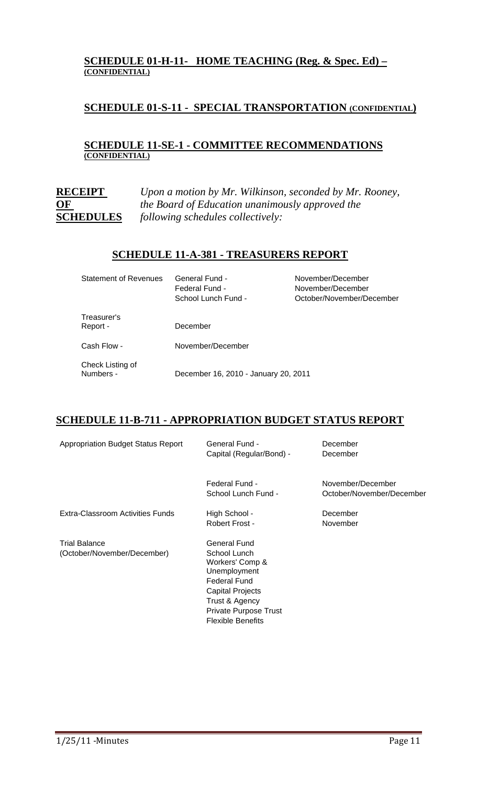#### **SCHEDULE 01-H-11- HOME TEACHING (Reg. & Spec. Ed) – (CONFIDENTIAL)**

## **SCHEDULE 01-S-11 - SPECIAL TRANSPORTATION (CONFIDENTIAL)**

### **SCHEDULE 11-SE-1 - COMMITTEE RECOMMENDATIONS (CONFIDENTIAL)**

**RECEIPT** *Upon a motion by Mr. Wilkinson, seconded by Mr. Rooney,*  **OF** *the Board of Education unanimously approved the*  **SCHEDULES** *following schedules collectively:* 

### **SCHEDULE 11-A-381 - TREASURERS REPORT**

| <b>Statement of Revenues</b>  | General Fund -<br>Federal Fund -<br>School Lunch Fund - | November/December<br>November/December<br>October/November/December |
|-------------------------------|---------------------------------------------------------|---------------------------------------------------------------------|
| Treasurer's<br>Report -       | December                                                |                                                                     |
| Cash Flow -                   | November/December                                       |                                                                     |
| Check Listing of<br>Numbers - | December 16, 2010 - January 20, 2011                    |                                                                     |

## **SCHEDULE 11-B-711 - APPROPRIATION BUDGET STATUS REPORT**

| <b>Appropriation Budget Status Report</b>    | General Fund -<br>Capital (Regular/Bond) -                                                                                                                                               | December<br>December                           |
|----------------------------------------------|------------------------------------------------------------------------------------------------------------------------------------------------------------------------------------------|------------------------------------------------|
|                                              | Federal Fund -<br>School Lunch Fund -                                                                                                                                                    | November/December<br>October/November/December |
| Extra-Classroom Activities Funds             | High School -<br>Robert Frost -                                                                                                                                                          | December<br>November                           |
| Trial Balance<br>(October/November/December) | General Fund<br>School Lunch<br>Workers' Comp &<br>Unemployment<br><b>Federal Fund</b><br><b>Capital Projects</b><br>Trust & Agency<br>Private Purpose Trust<br><b>Flexible Benefits</b> |                                                |